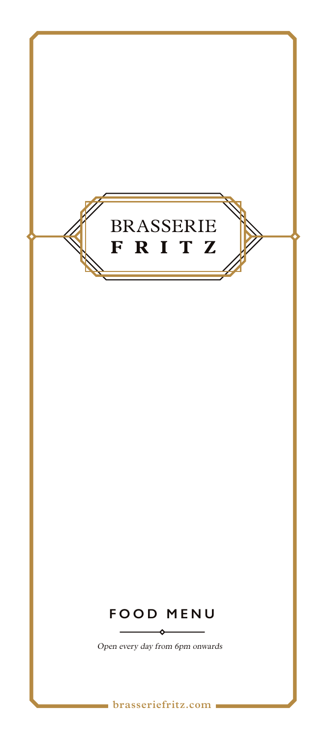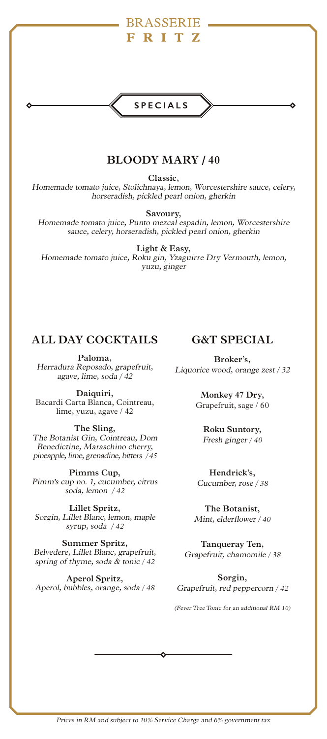## **SPECIALS**

## **BLOODY MARY / 40**

**Classic,**  Homemade tomato juice, Stolichnaya, lemon, Worcestershire sauce, celery, horseradish, pickled pearl onion, gherkin

**Savoury,** 

Homemade tomato juice, Punto mezcal espadin, lemon, Worcestershire sauce, celery, horseradish, pickled pearl onion, gherkin

**Light & Easy,**  Homemade tomato juice, Roku gin, Yzaguirre Dry Vermouth, lemon, yuzu, ginger

### **ALL DAY COCKTAILS**

**Paloma,**  Herradura Reposado, grapefruit, agave, lime, soda / 42

**Daiquiri,**  Bacardi Carta Blanca, Cointreau, lime, yuzu, agave / 42

**The Sling,**  The Botanist Gin, Cointreau, Dom Benedictine, Maraschino cherry, pineapple, lime, grenadine, bitters / 45

**Pimms Cup,** Pimm's cup no. 1, cucumber, citrus soda, lemon / 42

**Lillet Spritz,**  Sorgin, Lillet Blanc, lemon, maple syrup, soda / <sup>42</sup>

**Summer Spritz,**  Belvedere, Lillet Blanc, grapefruit, spring of thyme, soda & tonic / 42

**Aperol Spritz,**  Aperol, bubbles, orange, soda / 48

## **G&T SPECIAL**

**Broker's,**  Liquorice wood, orange zest / 32

> **Monkey 47 Dry,**  Grapefruit, sage / 60

**Roku Suntory,** Fresh ginger / 40

**Hendrick's,** Cucumber, rose / 38

**The Botanist,**  Mint, elderflower / 40

**Tanqueray Ten,**  Grapefruit, chamomile / 38

**Sorgin,**  Grapefruit, red peppercorn / 42

(Fever Tree Tonic for an additional RM 10)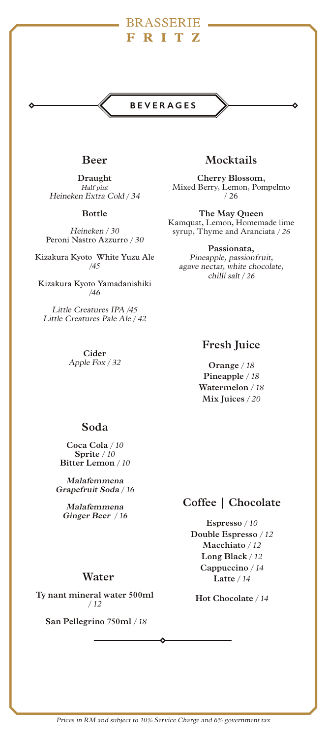### **BEVERAGES**

### **Beer**

**Draught**  Half pint Heineken Extra Cold / 34

**Bottle** 

Heineken / 30 Peroni Nastro Azzurro / 30

Kizakura Kyoto White Yuzu Ale /45

Kizakura Kyoto Yamadanishiki /46

Little Creatures IPA /45 Little Creatures Pale Ale / 42

> **Cider** Apple Fox / 32

### **Mocktails**

**Cherry Blossom,**  Mixed Berry, Lemon, Pompelmo / 26

**The May Queen** Kamquat, Lemon, Homemade lime syrup, Thyme and Aranciata / 26

**Passionata,** Pineapple, passionfruit, agave nectar, white chocolate, chilli salt / 26

### **Fresh Juice**

**Orange** / 18 **Pineapple** / 18 **Watermelon** / 18 **Mix Juices** / 20

### **Soda**

**Coca Cola** / 10 **Sprite** / 10 **Bitter Lemon** / 10

**Malafemmena Grapefruit Soda** / 16

**Malafemmena Ginger Beer** / 1**6** 

### **Coffee | Chocolate**

**Espresso** / 10 **Double Espresso** / 12 **Macchiato** / 12 **Long Black** / 12 **Cappuccino** / 14 **Latte** / 14

**Hot Chocolate** / 14

### **Water**

**Ty nant mineral water 500ml**  / 12

**San Pellegrino 750ml** / 18

Prices in RM and subject to 10% Service Charge and 6% government tax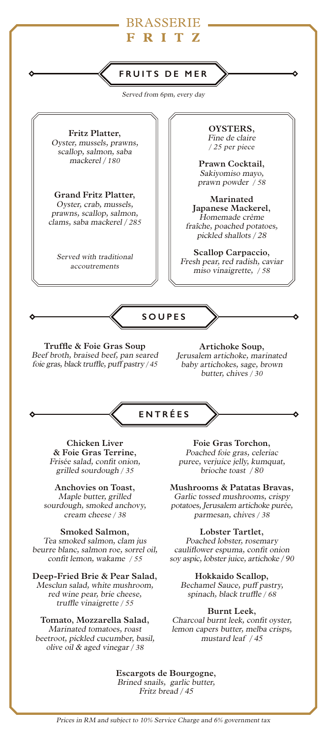

Served from 6pm, every day

**Fritz Platter,**  Oyster, mussels, prawns, scallop, salmon, saba mackerel / 180

**Grand Fritz Platter,**  Oyster, crab, mussels, prawns, scallop, salmon, clams, saba mackerel / 285

Served with traditional accoutrements

**OYSTERS,**  Fine de claire / 25 per piece

**Prawn Cocktail,** Sakiyomiso mayo, prawn powder / 58

**Marinated Japanese Mackerel,** Homemade crème fraîche, poached potatoes, pickled shallots / 28

**Scallop Carpaccio,** Fresh pear, red radish, caviar miso vinaigrette, / 58

**SOUPES**

**Truffle & Foie Gras Soup**  Beef broth, braised beef, pan seared foie gras, black truffle, puff pastry / 45

**Artichoke Soup,** Jerusalem artichoke, marinated baby artichokes, sage, brown butter, chives / 30



**Chicken Liver & Foie Gras Terrine,**  Frisée salad, confit onion, grilled sourdough / 35

**Anchovies on Toast,**  Maple butter, grilled sourdough, smoked anchovy, cream cheese / 38

**Smoked Salmon,** Tea smoked salmon, clam jus beurre blanc, salmon roe, sorrel oil, confit lemon, wakame / 55

**Deep-Fried Brie & Pear Salad,** Mesclun salad, white mushroom, red wine pear, brie cheese, truffle vinaigrette / 55

### **Tomato, Mozzarella Salad,**

Marinated tomatoes, roast beetroot, pickled cucumber, basil, olive oil & aged vinegar / <sup>38</sup>

**Foie Gras Torchon,** Poached foie gras, celeriac puree, verjuice jelly, kumquat, brioche toast / 80

**Mushrooms & Patatas Bravas,** Garlic tossed mushrooms, crispy potatoes, Jerusalem artichoke purée, parmesan, chives / 38

### **Lobster Tartlet,**

Poached lobster, rosemary cauliflower espuma, confit onion soy aspic, lobster juice, artichoke / 90

**Hokkaido Scallop,** Bechamel Sauce, puff pastry, spinach, black truffle / 68

#### **Burnt Leek,**

Charcoal burnt leek, confit oyster, lemon capers butter, melba crisps, mustard leaf / 45

**Escargots de Bourgogne,** Brined snails, garlic butter, Fritz bread / 45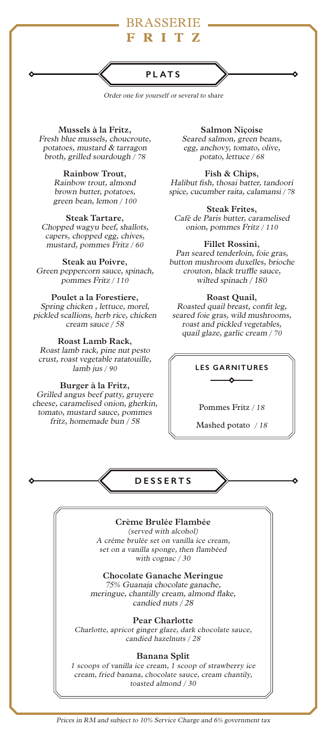### **PLATS**

Order one for yourself or several to share

**Mussels à la Fritz,** Fresh blue mussels, choucroute, potatoes, mustard & tarragon broth, grilled sourdough / 78

### **Rainbow Trout,**

Rainbow trout, almond brown butter, potatoes, green bean, lemon / 100

#### **Steak Tartare,**

Chopped wagyu beef, shallots, capers, chopped egg, chives, mustard, pommes Fritz / 60

#### **Steak au Poivre,**

Green peppercorn sauce, spinach, pommes Fritz / 110

### **Poulet a la Forestiere,**

Spring chicken , lettuce, morel, pickled scallions, herb rice, chicken cream sauce / 58

#### **Roast Lamb Rack,**

Roast lamb rack, pine nut pesto crust, roast vegetable ratatouille, lamb jus / 90

#### **Burger à la Fritz,**

Grilled angus beef patty, gruyere cheese, caramelised onion, gherkin, tomato, mustard sauce, pommes fritz, homemade bun / 58

**Salmon Niçoise**  Seared salmon, green beans, egg, anchovy, tomato, olive, potato, lettuce / 68

**Fish & Chips,**  Halibut fish, thosai batter, tandoori spice, cucumber raita, calamansi / 78

### **Steak Frites,**

Café de Paris butter, caramelised onion, pommes Fritz / 110

#### **Fillet Rossini,**

Pan seared tenderloin, foie gras, button mushroom duxelles, brioche crouton, black truffle sauce, wilted spinach / 180

### **Roast Quail,**

Roasted quail breast, confit leg, seared foie gras, wild mushrooms, roast and pickled vegetables, quail glaze, garlic cream / 70

### **LES GARNITURES** δ

Pommes Fritz / 18

Mashed potato / 18

**DESSERTS**

### **Crème Brulée Flambée**

(served with alcohol) A crème brulée set on vanilla ice cream, set on a vanilla sponge, then flambéed with cognac / 30

**Chocolate Ganache Meringue** 75% Guanaja chocolate ganache, meringue, chantilly cream, almond flake, candied nuts / 28

### **Pear Charlotte**

Charlotte, apricot ginger glaze, dark chocolate sauce, candied hazelnuts / 28

#### **Banana Split**

1 scoops of vanilla ice cream, 1 scoop of strawberry ice cream, fried banana, chocolate sauce, cream chantily, toasted almond / 30